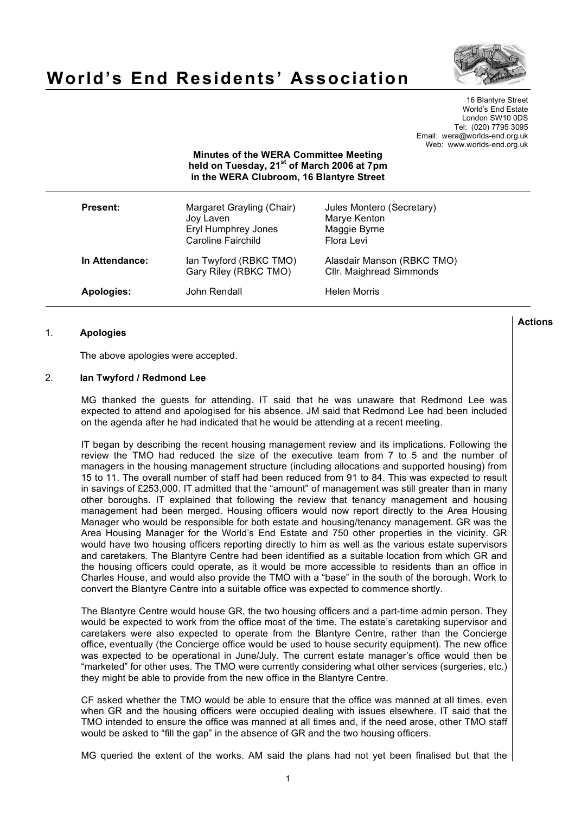

# **World's End Residents' Association**

16 Blantyre Street World's End Estate London SW10 0DS Tel: (020) 7795 3095 Email: wera@worlds-end.org.uk Web: www.worlds-end.org.uk

**Minutes of the WERA Committee Meeting held on Tuesday, 21st of March 2006 at 7pm in the WERA Clubroom, 16 Blantyre Street**

| <b>Present:</b>   | Margaret Grayling (Chair)<br>Joy Laven<br>Eryl Humphrey Jones<br>Caroline Fairchild | Jules Montero (Secretary)<br>Marye Kenton<br>Maggie Byrne<br>Flora Levi |
|-------------------|-------------------------------------------------------------------------------------|-------------------------------------------------------------------------|
| In Attendance:    | lan Twyford (RBKC TMO)<br>Gary Riley (RBKC TMO)                                     | Alasdair Manson (RBKC TMO)<br>Cllr. Maighread Simmonds                  |
| <b>Apologies:</b> | John Rendall                                                                        | <b>Helen Morris</b>                                                     |

# 1. **Apologies**

The above apologies were accepted.

## 2. **Ian Twyford / Redmond Lee**

MG thanked the guests for attending. IT said that he was unaware that Redmond Lee was expected to attend and apologised for his absence. JM said that Redmond Lee had been included on the agenda after he had indicated that he would be attending at a recent meeting.

IT began by describing the recent housing management review and its implications. Following the review the TMO had reduced the size of the executive team from 7 to 5 and the number of managers in the housing management structure (including allocations and supported housing) from 15 to 11. The overall number of staff had been reduced from 91 to 84. This was expected to result in savings of £253,000. IT admitted that the "amount" of management was still greater than in many other boroughs. IT explained that following the review that tenancy management and housing management had been merged. Housing officers would now report directly to the Area Housing Manager who would be responsible for both estate and housing/tenancy management. GR was the Area Housing Manager for the World's End Estate and 750 other properties in the vicinity. GR would have two housing officers reporting directly to him as well as the various estate supervisors and caretakers. The Blantyre Centre had been identified as a suitable location from which GR and the housing officers could operate, as it would be more accessible to residents than an office in Charles House, and would also provide the TMO with a "base" in the south of the borough. Work to convert the Blantyre Centre into a suitable office was expected to commence shortly.

The Blantyre Centre would house GR, the two housing officers and a part-time admin person. They would be expected to work from the office most of the time. The estate's caretaking supervisor and caretakers were also expected to operate from the Blantyre Centre, rather than the Concierge office, eventually (the Concierge office would be used to house security equipment). The new office was expected to be operational in June/July. The current estate manager's office would then be "marketed" for other uses. The TMO were currently considering what other services (surgeries, etc.) they might be able to provide from the new office in the Blantyre Centre.

CF asked whether the TMO would be able to ensure that the office was manned at all times, even when GR and the housing officers were occupied dealing with issues elsewhere. IT said that the TMO intended to ensure the office was manned at all times and, if the need arose, other TMO staff would be asked to "fill the gap" in the absence of GR and the two housing officers.

MG queried the extent of the works. AM said the plans had not yet been finalised but that the

**Actions**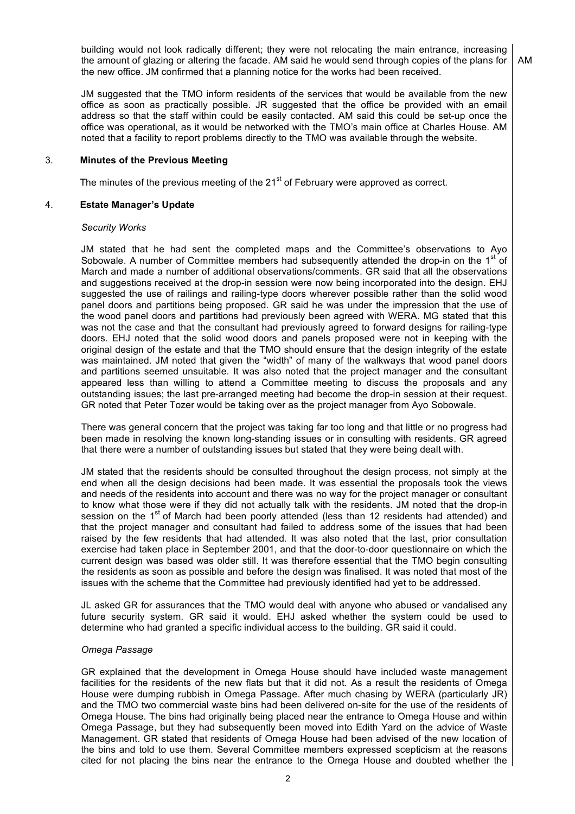building would not look radically different; they were not relocating the main entrance, increasing the amount of glazing or altering the facade. AM said he would send through copies of the plans for the new office. JM confirmed that a planning notice for the works had been received. AM

JM suggested that the TMO inform residents of the services that would be available from the new office as soon as practically possible. JR suggested that the office be provided with an email address so that the staff within could be easily contacted. AM said this could be set-up once the office was operational, as it would be networked with the TMO's main office at Charles House. AM noted that a facility to report problems directly to the TMO was available through the website.

## 3. **Minutes of the Previous Meeting**

The minutes of the previous meeting of the  $21^{st}$  of February were approved as correct.

## 4. **Estate Manager's Update**

## *Security Works*

JM stated that he had sent the completed maps and the Committee's observations to Ayo Sobowale. A number of Committee members had subsequently attended the drop-in on the 1<sup>st</sup> of March and made a number of additional observations/comments. GR said that all the observations and suggestions received at the drop-in session were now being incorporated into the design. EHJ suggested the use of railings and railing-type doors wherever possible rather than the solid wood panel doors and partitions being proposed. GR said he was under the impression that the use of the wood panel doors and partitions had previously been agreed with WERA. MG stated that this was not the case and that the consultant had previously agreed to forward designs for railing-type doors. EHJ noted that the solid wood doors and panels proposed were not in keeping with the original design of the estate and that the TMO should ensure that the design integrity of the estate was maintained. JM noted that given the "width" of many of the walkways that wood panel doors and partitions seemed unsuitable. It was also noted that the project manager and the consultant appeared less than willing to attend a Committee meeting to discuss the proposals and any outstanding issues; the last pre-arranged meeting had become the drop-in session at their request. GR noted that Peter Tozer would be taking over as the project manager from Ayo Sobowale.

There was general concern that the project was taking far too long and that little or no progress had been made in resolving the known long-standing issues or in consulting with residents. GR agreed that there were a number of outstanding issues but stated that they were being dealt with.

JM stated that the residents should be consulted throughout the design process, not simply at the end when all the design decisions had been made. It was essential the proposals took the views and needs of the residents into account and there was no way for the project manager or consultant to know what those were if they did not actually talk with the residents. JM noted that the drop-in session on the 1<sup>st</sup> of March had been poorly attended (less than 12 residents had attended) and that the project manager and consultant had failed to address some of the issues that had been raised by the few residents that had attended. It was also noted that the last, prior consultation exercise had taken place in September 2001, and that the door-to-door questionnaire on which the current design was based was older still. It was therefore essential that the TMO begin consulting the residents as soon as possible and before the design was finalised. It was noted that most of the issues with the scheme that the Committee had previously identified had yet to be addressed.

JL asked GR for assurances that the TMO would deal with anyone who abused or vandalised any future security system. GR said it would. EHJ asked whether the system could be used to determine who had granted a specific individual access to the building. GR said it could.

## *Omega Passage*

GR explained that the development in Omega House should have included waste management facilities for the residents of the new flats but that it did not. As a result the residents of Omega House were dumping rubbish in Omega Passage. After much chasing by WERA (particularly JR) and the TMO two commercial waste bins had been delivered on-site for the use of the residents of Omega House. The bins had originally being placed near the entrance to Omega House and within Omega Passage, but they had subsequently been moved into Edith Yard on the advice of Waste Management. GR stated that residents of Omega House had been advised of the new location of the bins and told to use them. Several Committee members expressed scepticism at the reasons cited for not placing the bins near the entrance to the Omega House and doubted whether the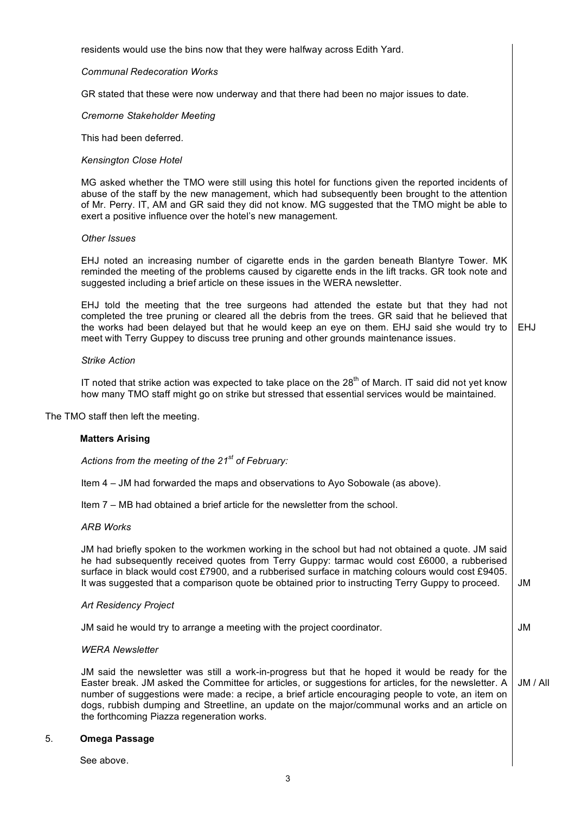residents would use the bins now that they were halfway across Edith Yard.

## *Communal Redecoration Works*

GR stated that these were now underway and that there had been no major issues to date.

## *Cremorne Stakeholder Meeting*

This had been deferred.

# *Kensington Close Hotel*

MG asked whether the TMO were still using this hotel for functions given the reported incidents of abuse of the staff by the new management, which had subsequently been brought to the attention of Mr. Perry. IT, AM and GR said they did not know. MG suggested that the TMO might be able to exert a positive influence over the hotel's new management.

#### *Other Issues*

EHJ noted an increasing number of cigarette ends in the garden beneath Blantyre Tower. MK reminded the meeting of the problems caused by cigarette ends in the lift tracks. GR took note and suggested including a brief article on these issues in the WERA newsletter.

EHJ told the meeting that the tree surgeons had attended the estate but that they had not completed the tree pruning or cleared all the debris from the trees. GR said that he believed that the works had been delayed but that he would keep an eye on them. EHJ said she would try to meet with Terry Guppey to discuss tree pruning and other grounds maintenance issues. EHJ

#### *Strike Action*

IT noted that strike action was expected to take place on the  $28<sup>th</sup>$  of March. IT said did not yet know how many TMO staff might go on strike but stressed that essential services would be maintained.

The TMO staff then left the meeting.

#### **Matters Arising**

*Actions from the meeting of the 21st of February:*

Item 4 – JM had forwarded the maps and observations to Ayo Sobowale (as above).

Item 7 – MB had obtained a brief article for the newsletter from the school.

#### *ARB Works*

JM had briefly spoken to the workmen working in the school but had not obtained a quote. JM said he had subsequently received quotes from Terry Guppy: tarmac would cost £6000, a rubberised surface in black would cost £7900, and a rubberised surface in matching colours would cost £9405. It was suggested that a comparison quote be obtained prior to instructing Terry Guppy to proceed.

JM

JM

#### *Art Residency Project*

JM said he would try to arrange a meeting with the project coordinator.

# *WERA Newsletter*

JM said the newsletter was still a work-in-progress but that he hoped it would be ready for the Easter break. JM asked the Committee for articles, or suggestions for articles, for the newsletter. A number of suggestions were made: a recipe, a brief article encouraging people to vote, an item on dogs, rubbish dumping and Streetline, an update on the major/communal works and an article on the forthcoming Piazza regeneration works. JM / All

## 5. **Omega Passage**

See above.